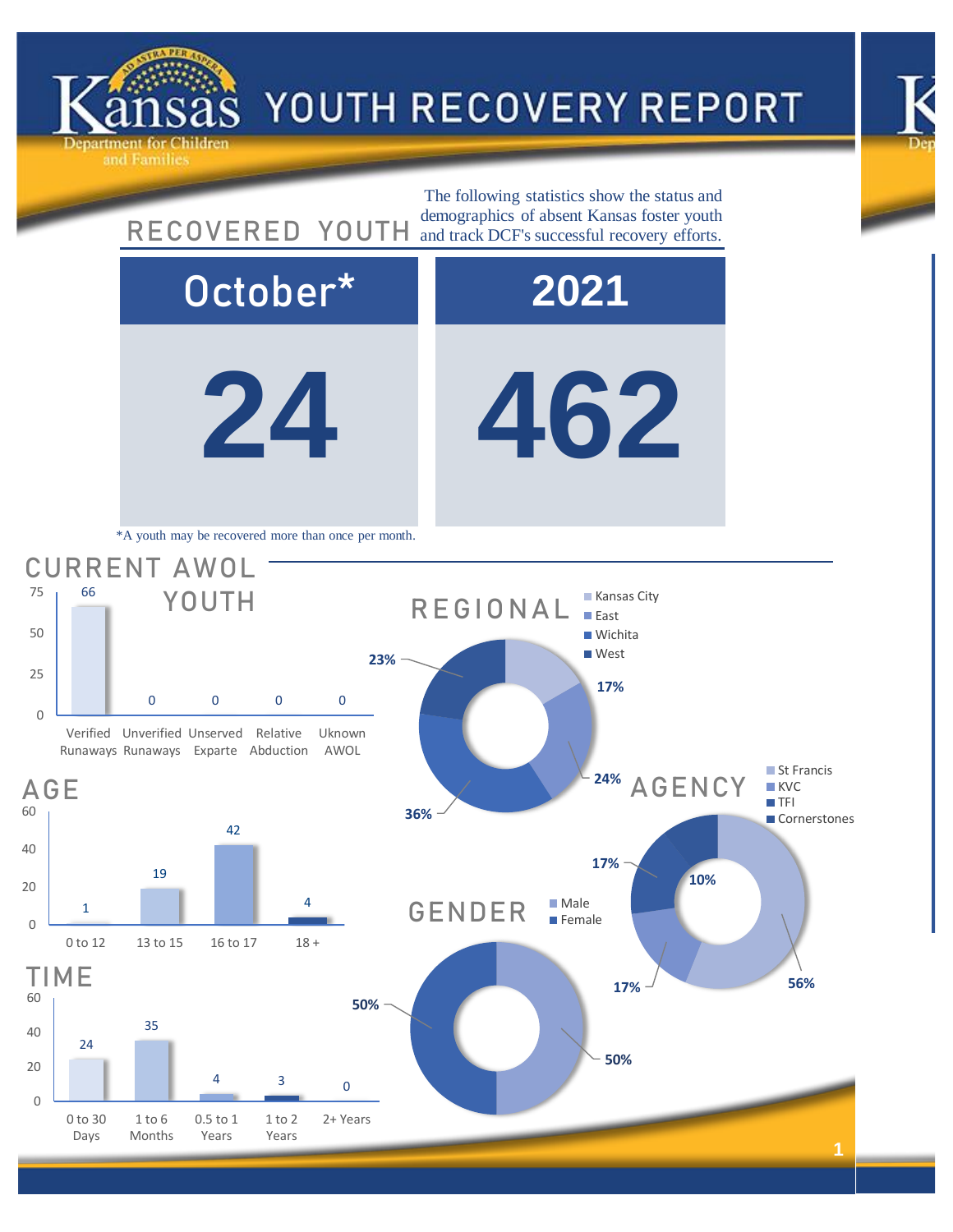



**24 462** October\* **2021** 24 35 <sup>4</sup> <sup>3</sup> <sup>0</sup> 0 20 40 60 0 to 30 Days 1 to 6 Months 0.5 to 1 Years 1 to 2 Years 2+ Years TIME **50% 50%** GENDER Male  $\blacksquare$  Female **17% 56% 17% 10%** 24% AGENCY St Francis **KVC**  $TFI$ Cornerstones 1 19 42 4 0 20 40 60 0 to 12 13 to 15 16 to 17 18 + AGE 66 0 0 0 0  $\Omega$ 25 50 75 Verified Unverified Unserved Relative Runaways Runaways Exparte Abduction Uknown AWOL CURRENT AWOL YOUTH The following statistics show the status and RECOVERED YOUTH and track DCF's successful recovery efforts. \*A youth may be recovered more than once per month. **17% 36% 23% REGIONAL Kansas City East Wichita West** 

ind Families